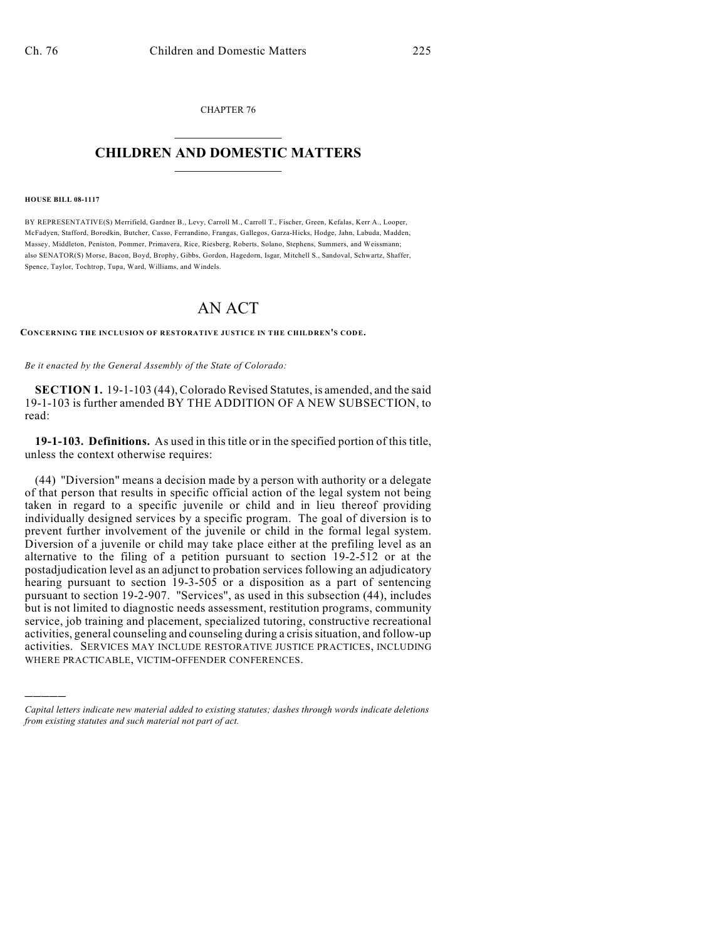CHAPTER 76  $\overline{\phantom{a}}$  . The set of the set of the set of the set of the set of the set of the set of the set of the set of the set of the set of the set of the set of the set of the set of the set of the set of the set of the set o

## **CHILDREN AND DOMESTIC MATTERS**  $\_$

## **HOUSE BILL 08-1117**

)))))

BY REPRESENTATIVE(S) Merrifield, Gardner B., Levy, Carroll M., Carroll T., Fischer, Green, Kefalas, Kerr A., Looper, McFadyen, Stafford, Borodkin, Butcher, Casso, Ferrandino, Frangas, Gallegos, Garza-Hicks, Hodge, Jahn, Labuda, Madden, Massey, Middleton, Peniston, Pommer, Primavera, Rice, Riesberg, Roberts, Solano, Stephens, Summers, and Weissmann; also SENATOR(S) Morse, Bacon, Boyd, Brophy, Gibbs, Gordon, Hagedorn, Isgar, Mitchell S., Sandoval, Schwartz, Shaffer, Spence, Taylor, Tochtrop, Tupa, Ward, Williams, and Windels.

## AN ACT

**CONCERNING THE INCLUSION OF RESTORATIVE JUSTICE IN THE CHILDREN'S CODE.**

*Be it enacted by the General Assembly of the State of Colorado:*

**SECTION 1.** 19-1-103 (44), Colorado Revised Statutes, is amended, and the said 19-1-103 is further amended BY THE ADDITION OF A NEW SUBSECTION, to read:

**19-1-103. Definitions.** As used in this title or in the specified portion of this title, unless the context otherwise requires:

(44) "Diversion" means a decision made by a person with authority or a delegate of that person that results in specific official action of the legal system not being taken in regard to a specific juvenile or child and in lieu thereof providing individually designed services by a specific program. The goal of diversion is to prevent further involvement of the juvenile or child in the formal legal system. Diversion of a juvenile or child may take place either at the prefiling level as an alternative to the filing of a petition pursuant to section 19-2-512 or at the postadjudication level as an adjunct to probation services following an adjudicatory hearing pursuant to section 19-3-505 or a disposition as a part of sentencing pursuant to section 19-2-907. "Services", as used in this subsection (44), includes but is not limited to diagnostic needs assessment, restitution programs, community service, job training and placement, specialized tutoring, constructive recreational activities, general counseling and counseling during a crisis situation, and follow-up activities. SERVICES MAY INCLUDE RESTORATIVE JUSTICE PRACTICES, INCLUDING WHERE PRACTICABLE, VICTIM-OFFENDER CONFERENCES.

*Capital letters indicate new material added to existing statutes; dashes through words indicate deletions from existing statutes and such material not part of act.*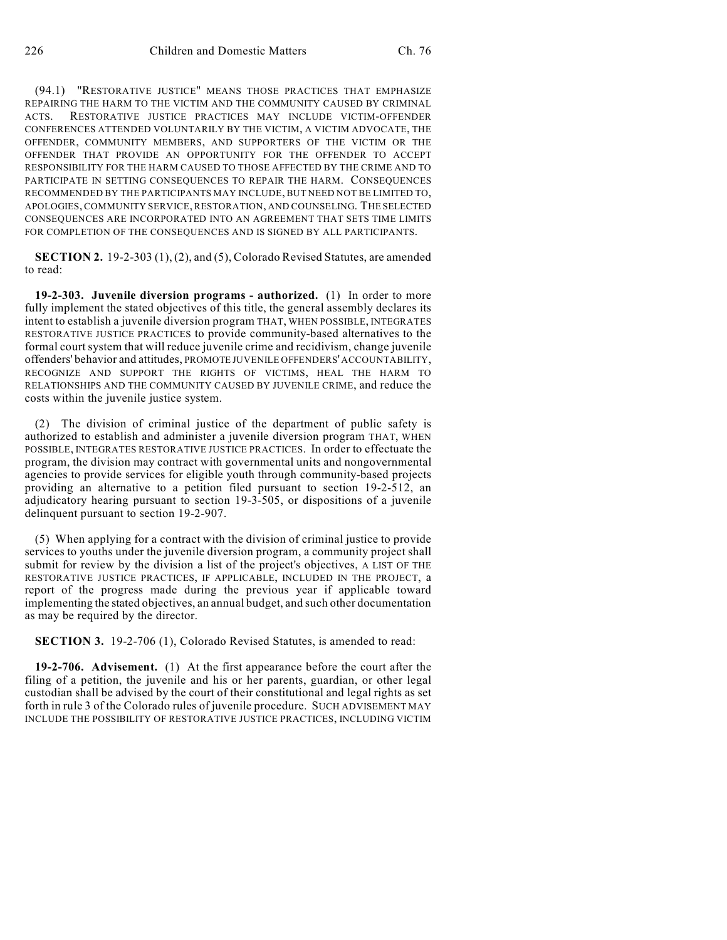(94.1) "RESTORATIVE JUSTICE" MEANS THOSE PRACTICES THAT EMPHASIZE REPAIRING THE HARM TO THE VICTIM AND THE COMMUNITY CAUSED BY CRIMINAL ACTS. RESTORATIVE JUSTICE PRACTICES MAY INCLUDE VICTIM-OFFENDER CONFERENCES ATTENDED VOLUNTARILY BY THE VICTIM, A VICTIM ADVOCATE, THE OFFENDER, COMMUNITY MEMBERS, AND SUPPORTERS OF THE VICTIM OR THE OFFENDER THAT PROVIDE AN OPPORTUNITY FOR THE OFFENDER TO ACCEPT RESPONSIBILITY FOR THE HARM CAUSED TO THOSE AFFECTED BY THE CRIME AND TO PARTICIPATE IN SETTING CONSEQUENCES TO REPAIR THE HARM. CONSEQUENCES RECOMMENDED BY THE PARTICIPANTS MAY INCLUDE, BUT NEED NOT BE LIMITED TO, APOLOGIES, COMMUNITY SERVICE, RESTORATION, AND COUNSELING. THE SELECTED CONSEQUENCES ARE INCORPORATED INTO AN AGREEMENT THAT SETS TIME LIMITS FOR COMPLETION OF THE CONSEQUENCES AND IS SIGNED BY ALL PARTICIPANTS.

**SECTION 2.** 19-2-303 (1), (2), and (5), Colorado Revised Statutes, are amended to read:

**19-2-303. Juvenile diversion programs - authorized.** (1) In order to more fully implement the stated objectives of this title, the general assembly declares its intent to establish a juvenile diversion program THAT, WHEN POSSIBLE, INTEGRATES RESTORATIVE JUSTICE PRACTICES to provide community-based alternatives to the formal court system that will reduce juvenile crime and recidivism, change juvenile offenders' behavior and attitudes, PROMOTE JUVENILE OFFENDERS' ACCOUNTABILITY, RECOGNIZE AND SUPPORT THE RIGHTS OF VICTIMS, HEAL THE HARM TO RELATIONSHIPS AND THE COMMUNITY CAUSED BY JUVENILE CRIME, and reduce the costs within the juvenile justice system.

(2) The division of criminal justice of the department of public safety is authorized to establish and administer a juvenile diversion program THAT, WHEN POSSIBLE, INTEGRATES RESTORATIVE JUSTICE PRACTICES. In order to effectuate the program, the division may contract with governmental units and nongovernmental agencies to provide services for eligible youth through community-based projects providing an alternative to a petition filed pursuant to section 19-2-512, an adjudicatory hearing pursuant to section 19-3-505, or dispositions of a juvenile delinquent pursuant to section 19-2-907.

(5) When applying for a contract with the division of criminal justice to provide services to youths under the juvenile diversion program, a community project shall submit for review by the division a list of the project's objectives, A LIST OF THE RESTORATIVE JUSTICE PRACTICES, IF APPLICABLE, INCLUDED IN THE PROJECT, a report of the progress made during the previous year if applicable toward implementing the stated objectives, an annual budget, and such other documentation as may be required by the director.

**SECTION 3.** 19-2-706 (1), Colorado Revised Statutes, is amended to read:

**19-2-706. Advisement.** (1) At the first appearance before the court after the filing of a petition, the juvenile and his or her parents, guardian, or other legal custodian shall be advised by the court of their constitutional and legal rights as set forth in rule 3 of the Colorado rules of juvenile procedure. SUCH ADVISEMENT MAY INCLUDE THE POSSIBILITY OF RESTORATIVE JUSTICE PRACTICES, INCLUDING VICTIM